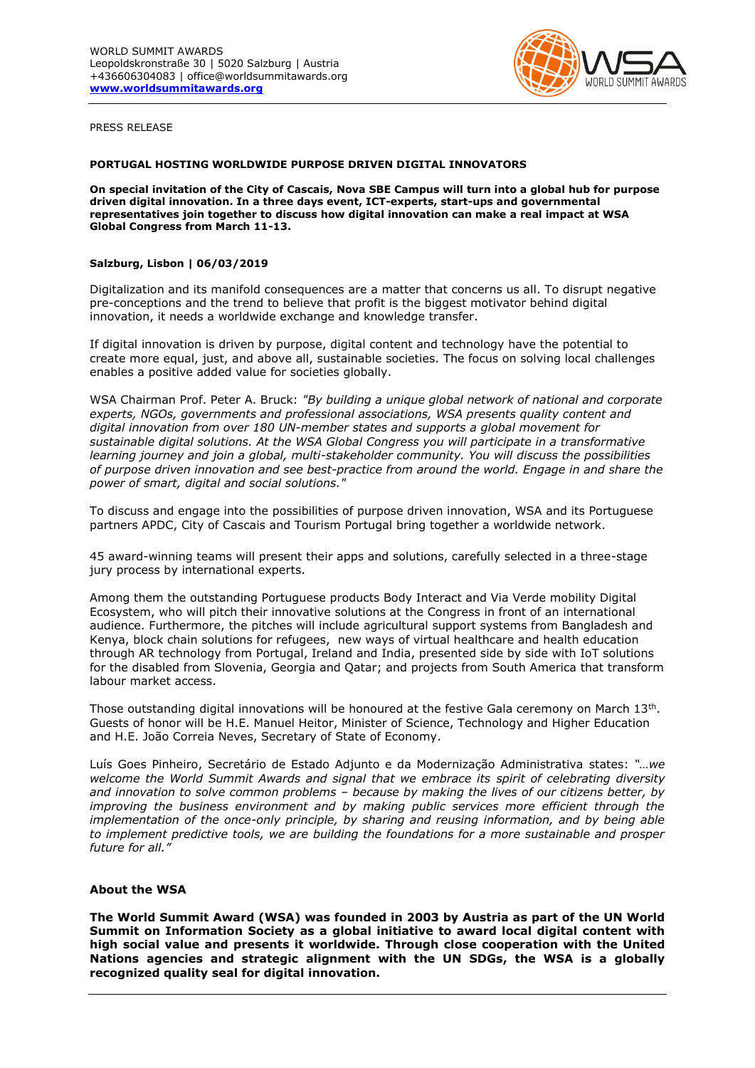

PRESS RELEASE

## **PORTUGAL HOSTING WORLDWIDE PURPOSE DRIVEN DIGITAL INNOVATORS**

**On special invitation of the City of Cascais, Nova SBE Campus will turn into a global hub for purpose driven digital innovation. In a three days event, ICT-experts, start-ups and governmental representatives join together to discuss how digital innovation can make a real impact at WSA Global Congress from March 11-13.**

## **Salzburg, Lisbon | 06/03/2019**

Digitalization and its manifold consequences are a matter that concerns us all. To disrupt negative pre-conceptions and the trend to believe that profit is the biggest motivator behind digital innovation, it needs a worldwide exchange and knowledge transfer.

If digital innovation is driven by purpose, digital content and technology have the potential to create more equal, just, and above all, sustainable societies. The focus on solving local challenges enables a positive added value for societies globally.

WSA Chairman Prof. Peter A. Bruck: *"By building a unique global network of national and corporate experts, NGOs, governments and professional associations, WSA presents quality content and digital innovation from over 180 UN-member states and supports a global movement for sustainable digital solutions. At the WSA Global Congress you will participate in a transformative learning journey and join a global, multi-stakeholder community. You will discuss the possibilities of purpose driven innovation and see best-practice from around the world. Engage in and share the power of smart, digital and social solutions."*

To discuss and engage into the possibilities of purpose driven innovation, WSA and its Portuguese partners APDC, City of Cascais and Tourism Portugal bring together a worldwide network.

45 award-winning teams will present their apps and solutions, carefully selected in a three-stage jury process by international experts.

Among them the outstanding Portuguese products Body Interact and Via Verde mobility Digital Ecosystem, who will pitch their innovative solutions at the Congress in front of an international audience. Furthermore, the pitches will include agricultural support systems from Bangladesh and Kenya, block chain solutions for refugees, new ways of virtual healthcare and health education through AR technology from Portugal, Ireland and India, presented side by side with IoT solutions for the disabled from Slovenia, Georgia and Qatar; and projects from South America that transform labour market access.

Those outstanding digital innovations will be honoured at the festive Gala ceremony on March  $13<sup>th</sup>$ . Guests of honor will be H.E. Manuel Heitor, Minister of Science, Technology and Higher Education and H.E. João Correia Neves, Secretary of State of Economy.

Luís Goes Pinheiro, Secretário de Estado Adjunto e da Modernização Administrativa states: *"…we welcome the World Summit Awards and signal that we embrace its spirit of celebrating diversity and innovation to solve common problems – because by making the lives of our citizens better, by improving the business environment and by making public services more efficient through the implementation of the once-only principle, by sharing and reusing information, and by being able to implement predictive tools, we are building the foundations for a more sustainable and prosper future for all."*

## **About the WSA**

**The World Summit Award (WSA) was founded in 2003 by Austria as part of the UN World Summit on Information Society as a global initiative to award local digital content with high social value and presents it worldwide. Through close cooperation with the United Nations agencies and strategic alignment with the UN SDGs, the WSA is a globally recognized quality seal for digital innovation.**